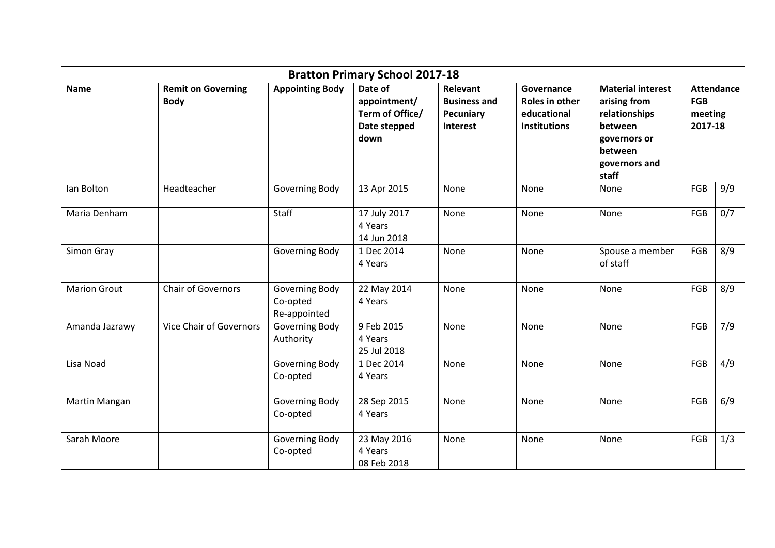| <b>Bratton Primary School 2017-18</b> |                                          |                                            |                                                                    |                                                                 |                                                                    |                                                                                                                           |                                                       |     |
|---------------------------------------|------------------------------------------|--------------------------------------------|--------------------------------------------------------------------|-----------------------------------------------------------------|--------------------------------------------------------------------|---------------------------------------------------------------------------------------------------------------------------|-------------------------------------------------------|-----|
| <b>Name</b>                           | <b>Remit on Governing</b><br><b>Body</b> | <b>Appointing Body</b>                     | Date of<br>appointment/<br>Term of Office/<br>Date stepped<br>down | Relevant<br><b>Business and</b><br>Pecuniary<br><b>Interest</b> | Governance<br>Roles in other<br>educational<br><b>Institutions</b> | <b>Material interest</b><br>arising from<br>relationships<br>between<br>governors or<br>between<br>governors and<br>staff | <b>Attendance</b><br><b>FGB</b><br>meeting<br>2017-18 |     |
| lan Bolton                            | Headteacher                              | Governing Body                             | 13 Apr 2015                                                        | None                                                            | None                                                               | None                                                                                                                      | FGB                                                   | 9/9 |
| Maria Denham                          |                                          | Staff                                      | 17 July 2017<br>4 Years<br>14 Jun 2018                             | None                                                            | None                                                               | None                                                                                                                      | FGB                                                   | 0/7 |
| Simon Gray                            |                                          | Governing Body                             | 1 Dec 2014<br>4 Years                                              | None                                                            | None                                                               | Spouse a member<br>of staff                                                                                               | FGB                                                   | 8/9 |
| <b>Marion Grout</b>                   | Chair of Governors                       | Governing Body<br>Co-opted<br>Re-appointed | 22 May 2014<br>4 Years                                             | None                                                            | None                                                               | None                                                                                                                      | FGB                                                   | 8/9 |
| Amanda Jazrawy                        | <b>Vice Chair of Governors</b>           | Governing Body<br>Authority                | 9 Feb 2015<br>4 Years<br>25 Jul 2018                               | None                                                            | None                                                               | None                                                                                                                      | FGB                                                   | 7/9 |
| Lisa Noad                             |                                          | Governing Body<br>Co-opted                 | 1 Dec 2014<br>4 Years                                              | None                                                            | None                                                               | None                                                                                                                      | FGB                                                   | 4/9 |
| Martin Mangan                         |                                          | Governing Body<br>Co-opted                 | 28 Sep 2015<br>4 Years                                             | None                                                            | None                                                               | None                                                                                                                      | FGB                                                   | 6/9 |
| Sarah Moore                           |                                          | Governing Body<br>Co-opted                 | 23 May 2016<br>4 Years<br>08 Feb 2018                              | None                                                            | None                                                               | None                                                                                                                      | FGB                                                   | 1/3 |